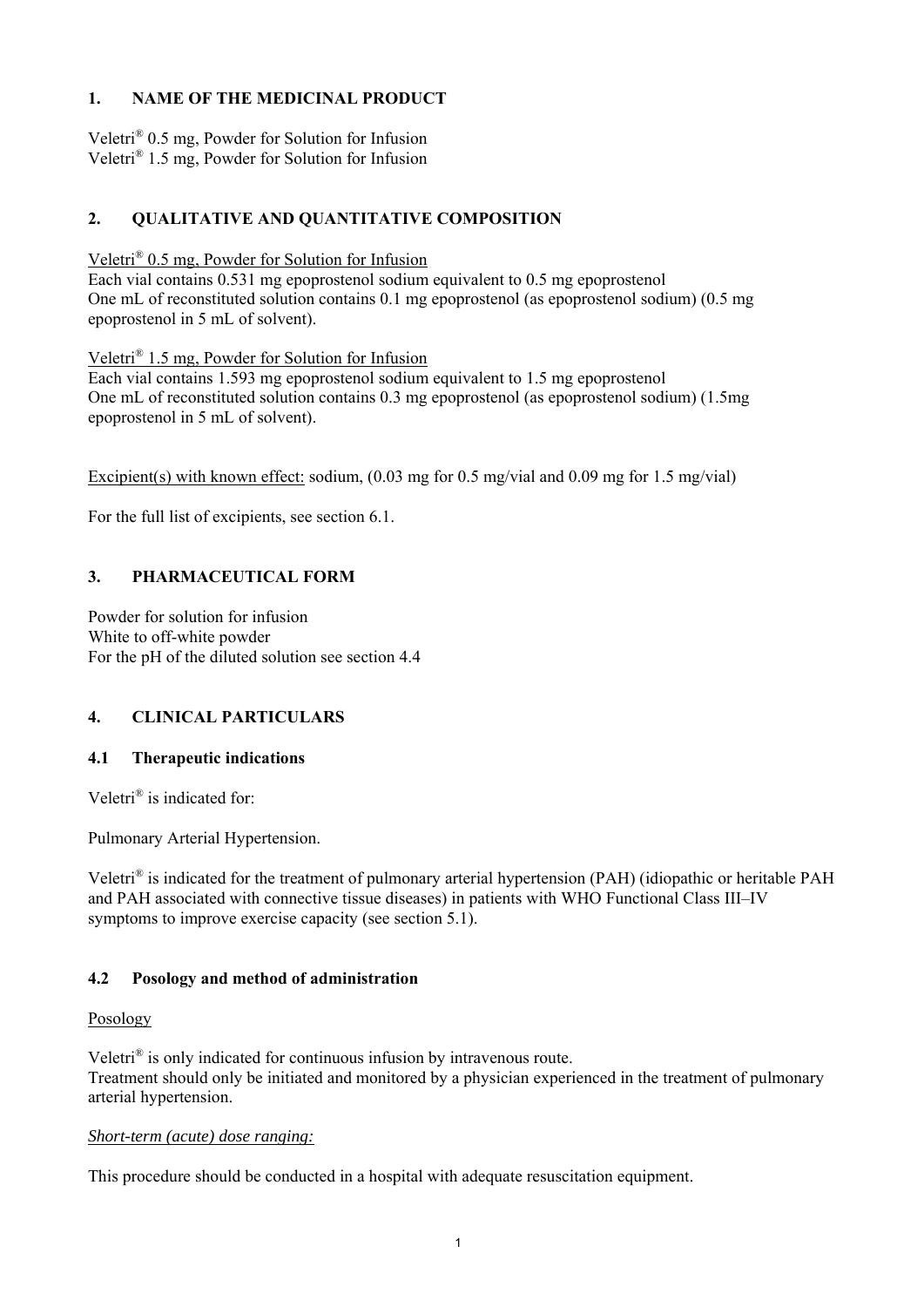# **1. NAME OF THE MEDICINAL PRODUCT**

Veletri® 0.5 mg, Powder for Solution for Infusion Veletri® 1.5 mg, Powder for Solution for Infusion

# **2. QUALITATIVE AND QUANTITATIVE COMPOSITION**

Veletri® 0.5 mg, Powder for Solution for Infusion

Each vial contains 0.531 mg epoprostenol sodium equivalent to 0.5 mg epoprostenol One mL of reconstituted solution contains 0.1 mg epoprostenol (as epoprostenol sodium) (0.5 mg epoprostenol in 5 mL of solvent).

Veletri® 1.5 mg, Powder for Solution for Infusion

Each vial contains 1.593 mg epoprostenol sodium equivalent to 1.5 mg epoprostenol One mL of reconstituted solution contains 0.3 mg epoprostenol (as epoprostenol sodium) (1.5mg epoprostenol in 5 mL of solvent).

Excipient(s) with known effect: sodium, (0.03 mg for 0.5 mg/vial and 0.09 mg for 1.5 mg/vial)

For the full list of excipients, see section 6.1.

# **3. PHARMACEUTICAL FORM**

Powder for solution for infusion White to off-white powder For the pH of the diluted solution see section 4.4

# **4. CLINICAL PARTICULARS**

#### **4.1 Therapeutic indications**

Veletri® is indicated for:

Pulmonary Arterial Hypertension.

Veletri® is indicated for the treatment of pulmonary arterial hypertension (PAH) (idiopathic or heritable PAH and PAH associated with connective tissue diseases) in patients with WHO Functional Class III–IV symptoms to improve exercise capacity (see section 5.1).

#### **4.2 Posology and method of administration**

#### Posology

Veletri® is only indicated for continuous infusion by intravenous route. Treatment should only be initiated and monitored by a physician experienced in the treatment of pulmonary arterial hypertension.

#### *Short-term (acute) dose ranging:*

This procedure should be conducted in a hospital with adequate resuscitation equipment.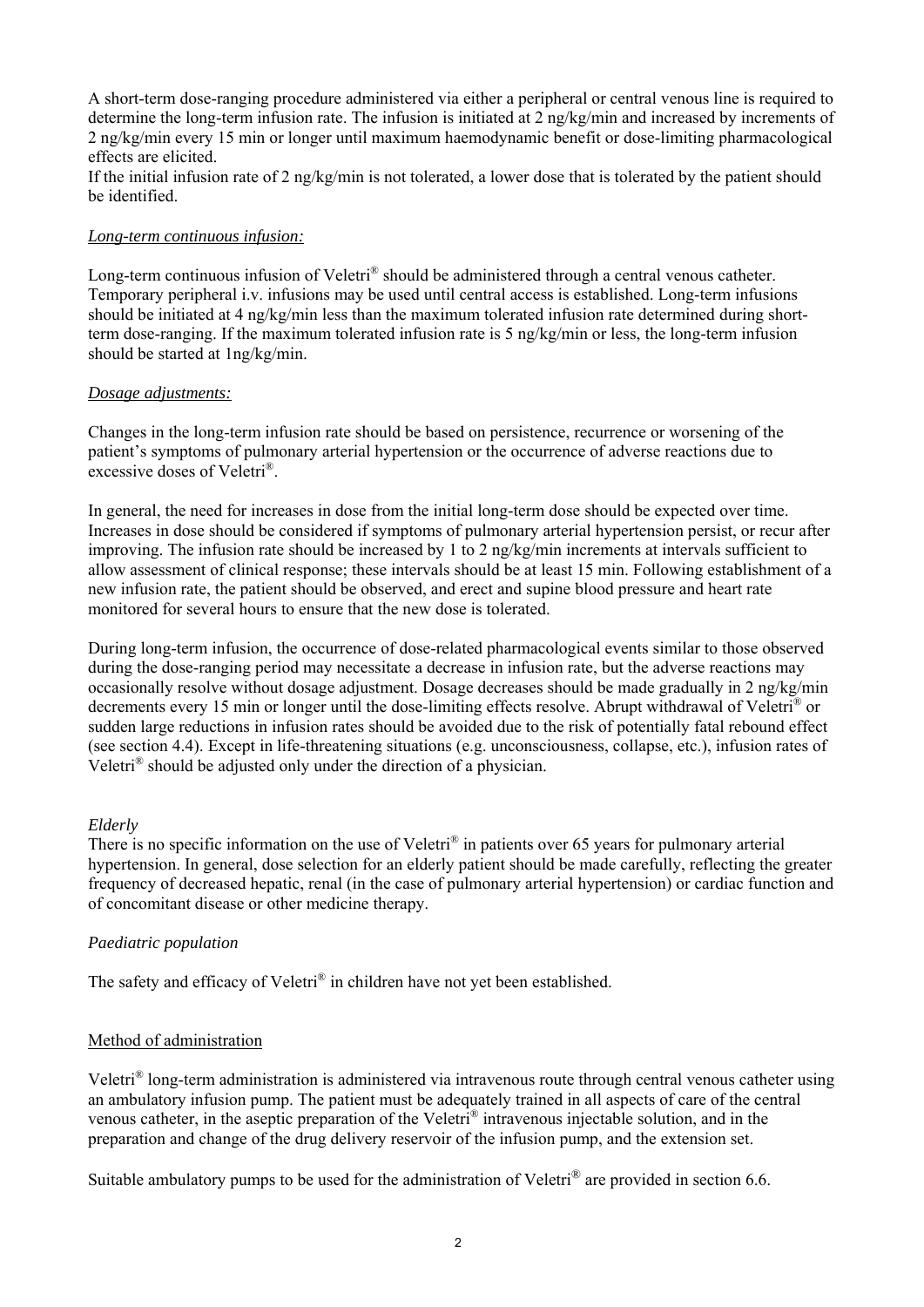A short-term dose-ranging procedure administered via either a peripheral or central venous line is required to determine the long-term infusion rate. The infusion is initiated at 2 ng/kg/min and increased by increments of 2 ng/kg/min every 15 min or longer until maximum haemodynamic benefit or dose-limiting pharmacological effects are elicited.

If the initial infusion rate of 2 ng/kg/min is not tolerated, a lower dose that is tolerated by the patient should be identified.

#### *Long-term continuous infusion:*

Long-term continuous infusion of Veletri<sup>®</sup> should be administered through a central venous catheter. Temporary peripheral i.v. infusions may be used until central access is established. Long-term infusions should be initiated at 4 ng/kg/min less than the maximum tolerated infusion rate determined during shortterm dose-ranging. If the maximum tolerated infusion rate is 5 ng/kg/min or less, the long-term infusion should be started at 1ng/kg/min.

#### *Dosage adjustments:*

Changes in the long-term infusion rate should be based on persistence, recurrence or worsening of the patient's symptoms of pulmonary arterial hypertension or the occurrence of adverse reactions due to excessive doses of Veletri®.

In general, the need for increases in dose from the initial long-term dose should be expected over time. Increases in dose should be considered if symptoms of pulmonary arterial hypertension persist, or recur after improving. The infusion rate should be increased by 1 to 2 ng/kg/min increments at intervals sufficient to allow assessment of clinical response; these intervals should be at least 15 min. Following establishment of a new infusion rate, the patient should be observed, and erect and supine blood pressure and heart rate monitored for several hours to ensure that the new dose is tolerated.

During long-term infusion, the occurrence of dose-related pharmacological events similar to those observed during the dose-ranging period may necessitate a decrease in infusion rate, but the adverse reactions may occasionally resolve without dosage adjustment. Dosage decreases should be made gradually in 2 ng/kg/min decrements every 15 min or longer until the dose-limiting effects resolve. Abrupt withdrawal of Veletri® or sudden large reductions in infusion rates should be avoided due to the risk of potentially fatal rebound effect (see section 4.4). Except in life-threatening situations (e.g. unconsciousness, collapse, etc.), infusion rates of Veletri® should be adjusted only under the direction of a physician.

#### *Elderly*

There is no specific information on the use of Veletri<sup>®</sup> in patients over 65 years for pulmonary arterial hypertension. In general, dose selection for an elderly patient should be made carefully, reflecting the greater frequency of decreased hepatic, renal (in the case of pulmonary arterial hypertension) or cardiac function and of concomitant disease or other medicine therapy.

#### *Paediatric population*

The safety and efficacy of Veletri<sup>®</sup> in children have not yet been established.

#### Method of administration

Veletri® long-term administration is administered via intravenous route through central venous catheter using an ambulatory infusion pump. The patient must be adequately trained in all aspects of care of the central venous catheter, in the aseptic preparation of the Veletri® intravenous injectable solution, and in the preparation and change of the drug delivery reservoir of the infusion pump, and the extension set.

Suitable ambulatory pumps to be used for the administration of Veletri<sup>®</sup> are provided in section 6.6.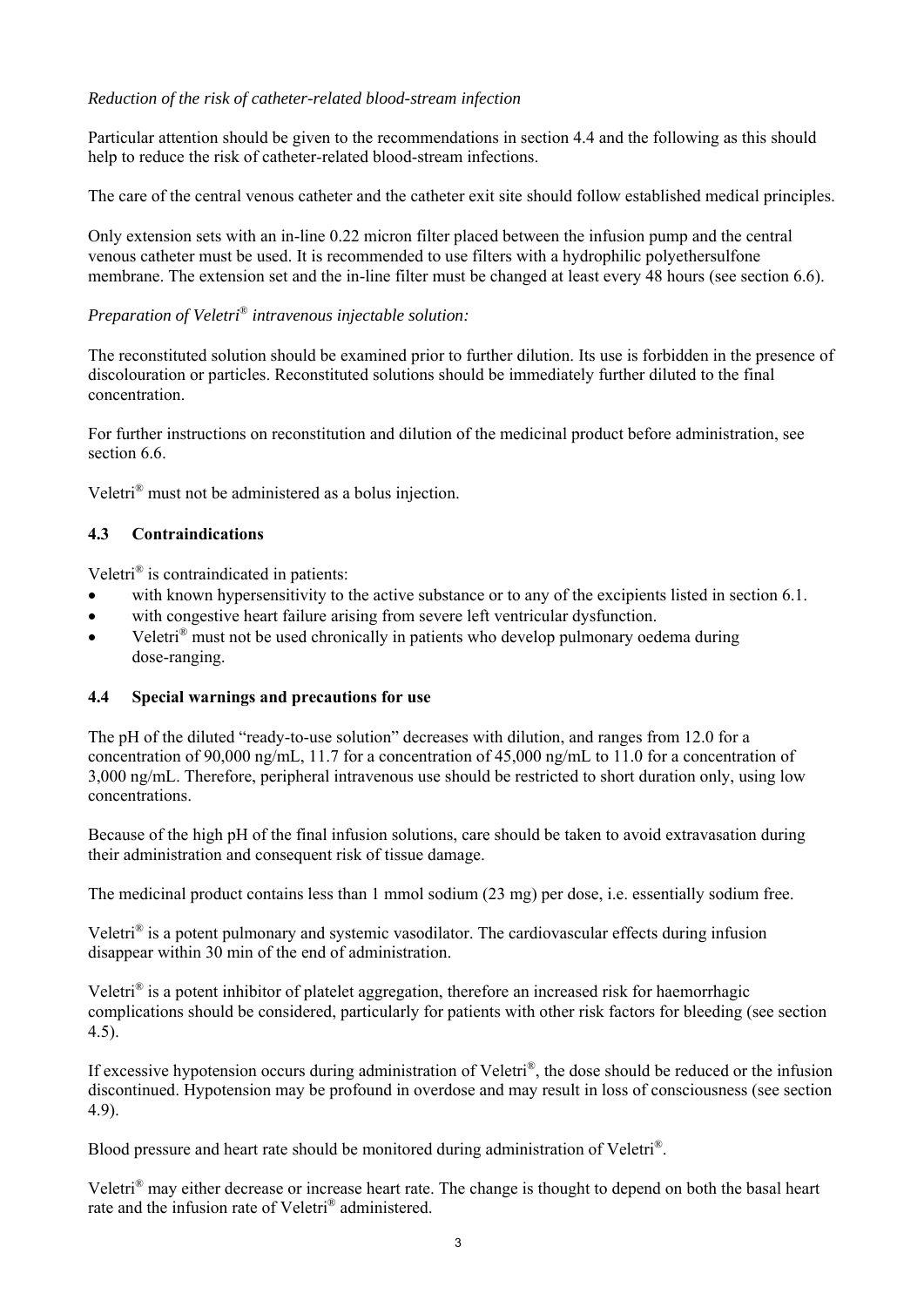# *Reduction of the risk of catheter-related blood-stream infection*

Particular attention should be given to the recommendations in section 4.4 and the following as this should help to reduce the risk of catheter-related blood-stream infections.

The care of the central venous catheter and the catheter exit site should follow established medical principles.

Only extension sets with an in-line 0.22 micron filter placed between the infusion pump and the central venous catheter must be used. It is recommended to use filters with a hydrophilic polyethersulfone membrane. The extension set and the in-line filter must be changed at least every 48 hours (see section 6.6).

# *Preparation of Veletri*® *intravenous injectable solution:*

The reconstituted solution should be examined prior to further dilution. Its use is forbidden in the presence of discolouration or particles. Reconstituted solutions should be immediately further diluted to the final concentration.

For further instructions on reconstitution and dilution of the medicinal product before administration, see section 6.6.

Veletri® must not be administered as a bolus injection.

# **4.3 Contraindications**

Veletri® is contraindicated in patients:

- with known hypersensitivity to the active substance or to any of the excipients listed in section 6.1.
- with congestive heart failure arising from severe left ventricular dysfunction.
- Veletri® must not be used chronically in patients who develop pulmonary oedema during dose-ranging.

# **4.4 Special warnings and precautions for use**

The pH of the diluted "ready-to-use solution" decreases with dilution, and ranges from 12.0 for a concentration of 90,000 ng/mL, 11.7 for a concentration of 45,000 ng/mL to 11.0 for a concentration of 3,000 ng/mL. Therefore, peripheral intravenous use should be restricted to short duration only, using low concentrations.

Because of the high pH of the final infusion solutions, care should be taken to avoid extravasation during their administration and consequent risk of tissue damage.

The medicinal product contains less than 1 mmol sodium (23 mg) per dose, i.e. essentially sodium free.

Veletri® is a potent pulmonary and systemic vasodilator. The cardiovascular effects during infusion disappear within 30 min of the end of administration.

Veletri® is a potent inhibitor of platelet aggregation, therefore an increased risk for haemorrhagic complications should be considered, particularly for patients with other risk factors for bleeding (see section 4.5).

If excessive hypotension occurs during administration of Veletri ®, the dose should be reduced or the infusion discontinued. Hypotension may be profound in overdose and may result in loss of consciousness (see section 4.9).

Blood pressure and heart rate should be monitored during administration of Veletri®.

Veletri® may either decrease or increase heart rate. The change is thought to depend on both the basal heart rate and the infusion rate of Veletri® administered.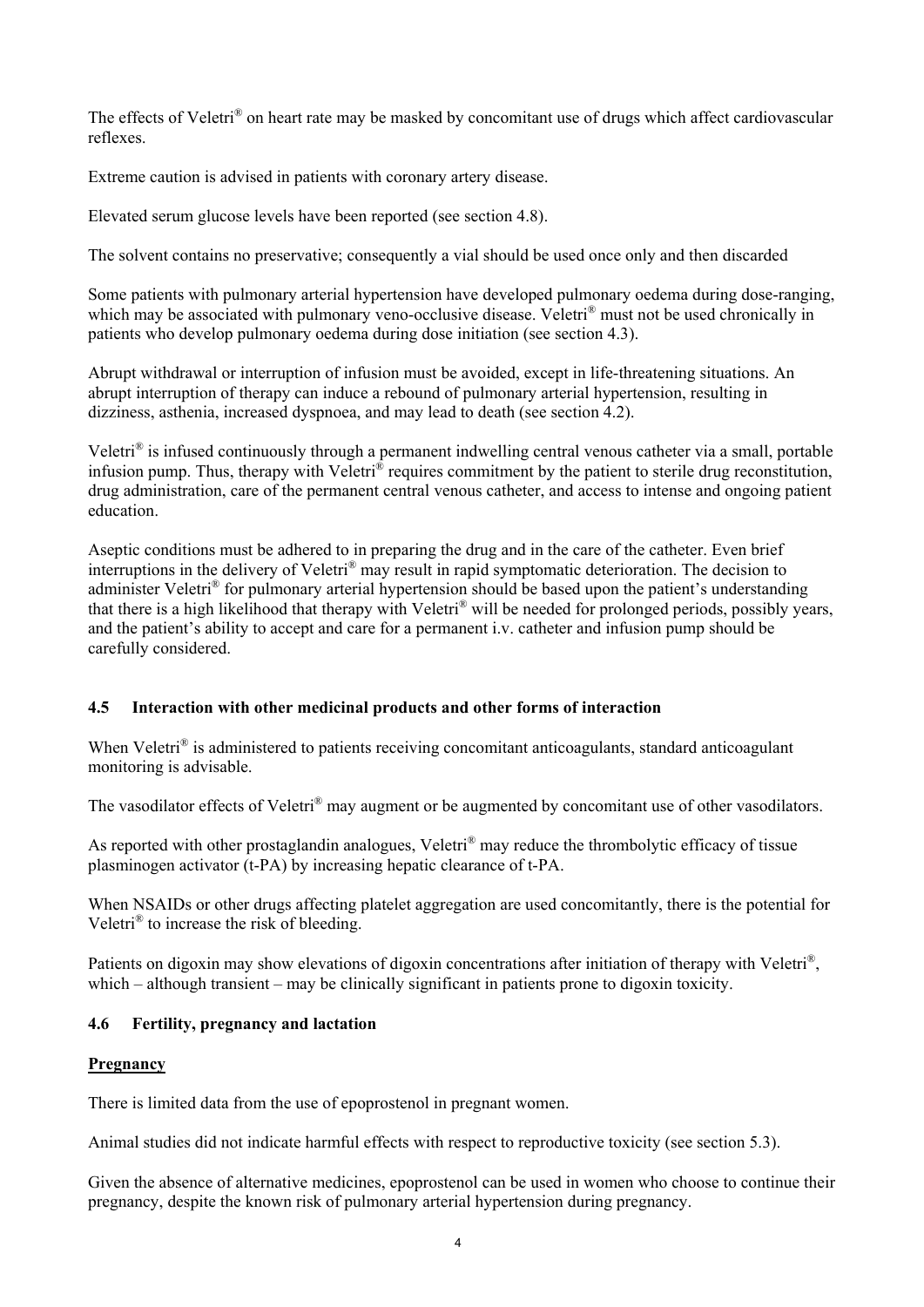The effects of Veletri<sup>®</sup> on heart rate may be masked by concomitant use of drugs which affect cardiovascular reflexes.

Extreme caution is advised in patients with coronary artery disease.

Elevated serum glucose levels have been reported (see section 4.8).

The solvent contains no preservative; consequently a vial should be used once only and then discarded

Some patients with pulmonary arterial hypertension have developed pulmonary oedema during dose-ranging, which may be associated with pulmonary veno-occlusive disease. Veletri<sup>®</sup> must not be used chronically in patients who develop pulmonary oedema during dose initiation (see section 4.3).

Abrupt withdrawal or interruption of infusion must be avoided, except in life-threatening situations. An abrupt interruption of therapy can induce a rebound of pulmonary arterial hypertension, resulting in dizziness, asthenia, increased dyspnoea, and may lead to death (see section 4.2).

Veletri® is infused continuously through a permanent indwelling central venous catheter via a small, portable infusion pump. Thus, therapy with Veletri® requires commitment by the patient to sterile drug reconstitution, drug administration, care of the permanent central venous catheter, and access to intense and ongoing patient education.

Aseptic conditions must be adhered to in preparing the drug and in the care of the catheter. Even brief interruptions in the delivery of Veletri® may result in rapid symptomatic deterioration. The decision to administer Veletri® for pulmonary arterial hypertension should be based upon the patient's understanding that there is a high likelihood that therapy with Veletri® will be needed for prolonged periods, possibly years, and the patient's ability to accept and care for a permanent i.v. catheter and infusion pump should be carefully considered.

# **4.5 Interaction with other medicinal products and other forms of interaction**

When Veletri<sup>®</sup> is administered to patients receiving concomitant anticoagulants, standard anticoagulant monitoring is advisable.

The vasodilator effects of Veletri® may augment or be augmented by concomitant use of other vasodilators.

As reported with other prostaglandin analogues, Veletri<sup>®</sup> may reduce the thrombolytic efficacy of tissue plasminogen activator  $(t-PA)$  by increasing hepatic clearance of  $t-PA$ .

When NSAIDs or other drugs affecting platelet aggregation are used concomitantly, there is the potential for Veletri® to increase the risk of bleeding.

Patients on digoxin may show elevations of digoxin concentrations after initiation of therapy with Veletri<sup>®</sup>, which – although transient – may be clinically significant in patients prone to digoxin toxicity.

# **4.6 Fertility, pregnancy and lactation**

#### **Pregnancy**

There is limited data from the use of epoprostenol in pregnant women.

Animal studies did not indicate harmful effects with respect to reproductive toxicity (see section 5.3).

Given the absence of alternative medicines, epoprostenol can be used in women who choose to continue their pregnancy, despite the known risk of pulmonary arterial hypertension during pregnancy.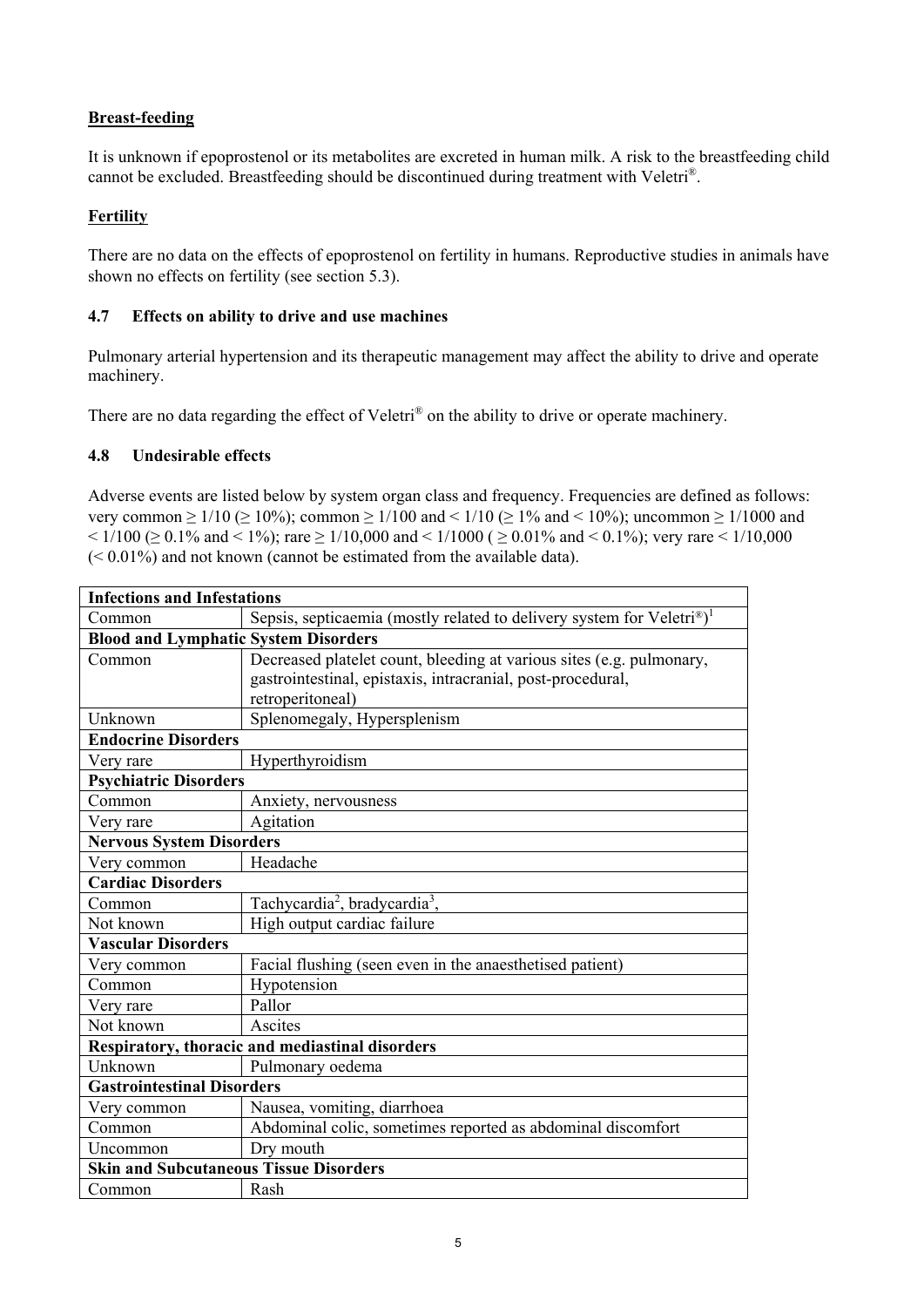# **Breast-feeding**

It is unknown if epoprostenol or its metabolites are excreted in human milk. A risk to the breastfeeding child cannot be excluded. Breastfeeding should be discontinued during treatment with Veletri®.

# **Fertility**

There are no data on the effects of epoprostenol on fertility in humans. Reproductive studies in animals have shown no effects on fertility (see section 5.3).

# **4.7 Effects on ability to drive and use machines**

Pulmonary arterial hypertension and its therapeutic management may affect the ability to drive and operate machinery.

There are no data regarding the effect of Veletri<sup>®</sup> on the ability to drive or operate machinery.

# **4.8 Undesirable effects**

Adverse events are listed below by system organ class and frequency. Frequencies are defined as follows: very common  $\geq 1/10$  ( $\geq 10\%$ ); common  $\geq 1/100$  and  $\leq 1/10$  ( $\geq 1\%$  and  $\leq 10\%$ ); uncommon  $\geq 1/1000$  and  $\leq$  1/100 ( $\geq$  0.1% and  $\leq$  1%); rare  $\geq$  1/10,000 and  $\leq$  1/1000 ( $\geq$  0.01% and  $\leq$  0.1%); very rare  $\leq$  1/10,000 (< 0.01%) and not known (cannot be estimated from the available data).

| <b>Infections and Infestations</b>                                                |  |  |  |  |  |  |  |
|-----------------------------------------------------------------------------------|--|--|--|--|--|--|--|
| Sepsis, septicaemia (mostly related to delivery system for Veletri®) <sup>1</sup> |  |  |  |  |  |  |  |
| <b>Blood and Lymphatic System Disorders</b>                                       |  |  |  |  |  |  |  |
| Decreased platelet count, bleeding at various sites (e.g. pulmonary,              |  |  |  |  |  |  |  |
| gastrointestinal, epistaxis, intracranial, post-procedural,                       |  |  |  |  |  |  |  |
| retroperitoneal)                                                                  |  |  |  |  |  |  |  |
| Splenomegaly, Hypersplenism                                                       |  |  |  |  |  |  |  |
|                                                                                   |  |  |  |  |  |  |  |
| Hyperthyroidism                                                                   |  |  |  |  |  |  |  |
| <b>Psychiatric Disorders</b>                                                      |  |  |  |  |  |  |  |
| Anxiety, nervousness                                                              |  |  |  |  |  |  |  |
| Agitation                                                                         |  |  |  |  |  |  |  |
| <b>Nervous System Disorders</b>                                                   |  |  |  |  |  |  |  |
| Headache                                                                          |  |  |  |  |  |  |  |
|                                                                                   |  |  |  |  |  |  |  |
| Tachycardia <sup>2</sup> , bradycardia <sup>3</sup> ,                             |  |  |  |  |  |  |  |
| High output cardiac failure                                                       |  |  |  |  |  |  |  |
|                                                                                   |  |  |  |  |  |  |  |
| Facial flushing (seen even in the anaesthetised patient)                          |  |  |  |  |  |  |  |
| Hypotension                                                                       |  |  |  |  |  |  |  |
| Pallor                                                                            |  |  |  |  |  |  |  |
| Ascites                                                                           |  |  |  |  |  |  |  |
| Respiratory, thoracic and mediastinal disorders                                   |  |  |  |  |  |  |  |
| Pulmonary oedema                                                                  |  |  |  |  |  |  |  |
| <b>Gastrointestinal Disorders</b>                                                 |  |  |  |  |  |  |  |
| Nausea, vomiting, diarrhoea                                                       |  |  |  |  |  |  |  |
| Abdominal colic, sometimes reported as abdominal discomfort                       |  |  |  |  |  |  |  |
| Dry mouth                                                                         |  |  |  |  |  |  |  |
| <b>Skin and Subcutaneous Tissue Disorders</b>                                     |  |  |  |  |  |  |  |
| Rash                                                                              |  |  |  |  |  |  |  |
| <b>Endocrine Disorders</b>                                                        |  |  |  |  |  |  |  |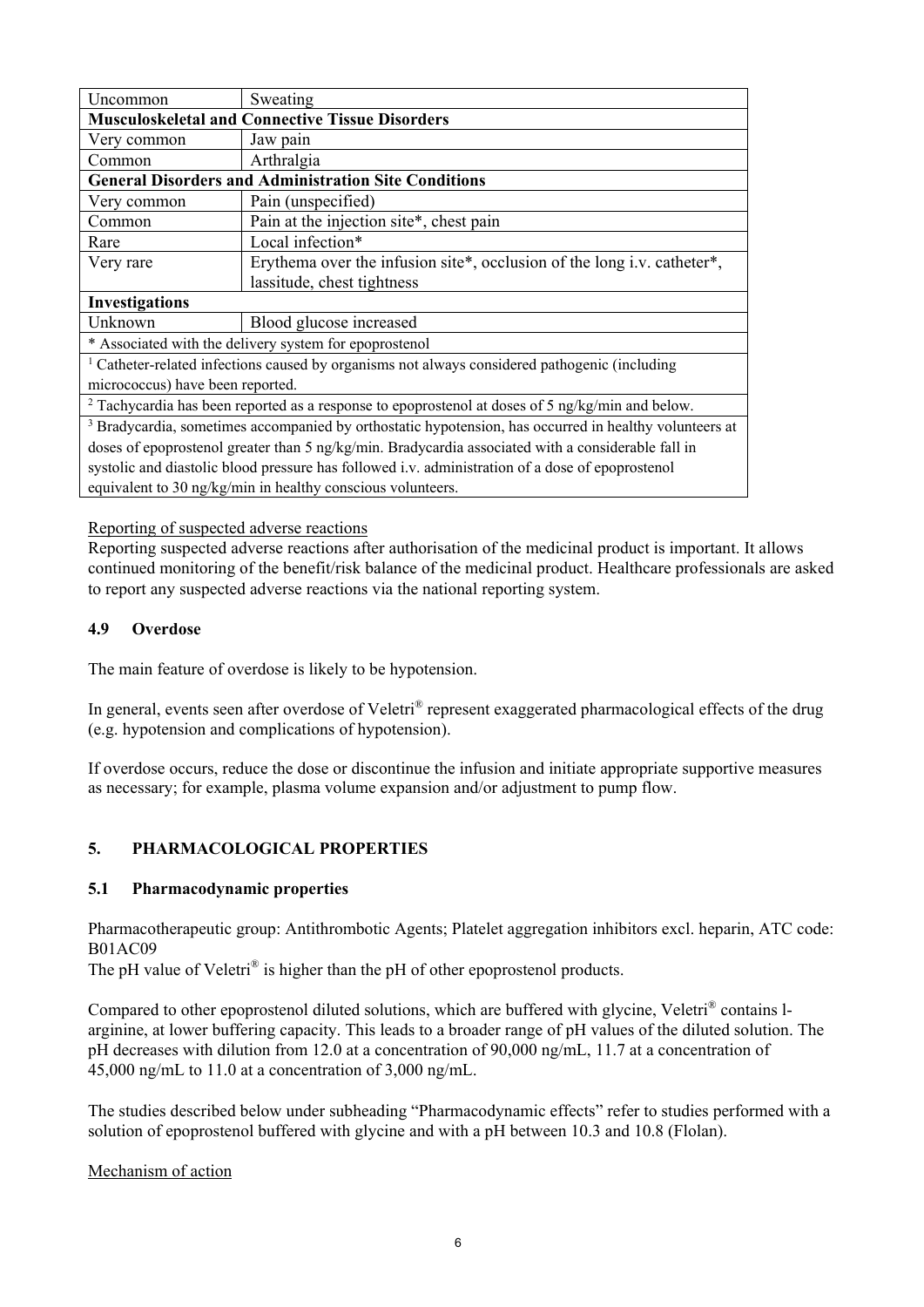| Uncommon                                                                                           | Sweating                                                                                                          |  |  |  |  |  |  |  |
|----------------------------------------------------------------------------------------------------|-------------------------------------------------------------------------------------------------------------------|--|--|--|--|--|--|--|
|                                                                                                    | <b>Musculoskeletal and Connective Tissue Disorders</b>                                                            |  |  |  |  |  |  |  |
| Very common                                                                                        | Jaw pain                                                                                                          |  |  |  |  |  |  |  |
| Common                                                                                             | Arthralgia                                                                                                        |  |  |  |  |  |  |  |
|                                                                                                    | <b>General Disorders and Administration Site Conditions</b>                                                       |  |  |  |  |  |  |  |
| Very common                                                                                        | Pain (unspecified)                                                                                                |  |  |  |  |  |  |  |
| Common                                                                                             | Pain at the injection site*, chest pain                                                                           |  |  |  |  |  |  |  |
| Rare                                                                                               | Local infection*                                                                                                  |  |  |  |  |  |  |  |
| Very rare                                                                                          | Erythema over the infusion site*, occlusion of the long i.v. catheter*,                                           |  |  |  |  |  |  |  |
|                                                                                                    | lassitude, chest tightness                                                                                        |  |  |  |  |  |  |  |
| <b>Investigations</b>                                                                              |                                                                                                                   |  |  |  |  |  |  |  |
| Unknown                                                                                            | Blood glucose increased                                                                                           |  |  |  |  |  |  |  |
|                                                                                                    | * Associated with the delivery system for epoprostenol                                                            |  |  |  |  |  |  |  |
|                                                                                                    | <sup>1</sup> Catheter-related infections caused by organisms not always considered pathogenic (including          |  |  |  |  |  |  |  |
| micrococcus) have been reported.                                                                   |                                                                                                                   |  |  |  |  |  |  |  |
|                                                                                                    | $2$ Tachycardia has been reported as a response to epoprostenol at doses of 5 ng/kg/min and below.                |  |  |  |  |  |  |  |
|                                                                                                    | <sup>3</sup> Bradycardia, sometimes accompanied by orthostatic hypotension, has occurred in healthy volunteers at |  |  |  |  |  |  |  |
| doses of epoprostenol greater than 5 ng/kg/min. Bradycardia associated with a considerable fall in |                                                                                                                   |  |  |  |  |  |  |  |
|                                                                                                    | systolic and diastolic blood pressure has followed i.v. administration of a dose of epoprostenol                  |  |  |  |  |  |  |  |
|                                                                                                    | equivalent to 30 ng/kg/min in healthy conscious volunteers.                                                       |  |  |  |  |  |  |  |

### Reporting of suspected adverse reactions

Reporting suspected adverse reactions after authorisation of the medicinal product is important. It allows continued monitoring of the benefit/risk balance of the medicinal product. Healthcare professionals are asked to report any suspected adverse reactions via the national reporting system.

### **4.9 Overdose**

The main feature of overdose is likely to be hypotension.

In general, events seen after overdose of Veletri® represent exaggerated pharmacological effects of the drug (e.g. hypotension and complications of hypotension).

If overdose occurs, reduce the dose or discontinue the infusion and initiate appropriate supportive measures as necessary; for example, plasma volume expansion and/or adjustment to pump flow.

# **5. PHARMACOLOGICAL PROPERTIES**

#### **5.1 Pharmacodynamic properties**

Pharmacotherapeutic group: Antithrombotic Agents; Platelet aggregation inhibitors excl. heparin, ATC code: B01AC09

The pH value of Veletri<sup>®</sup> is higher than the pH of other epoprostenol products.

Compared to other epoprostenol diluted solutions, which are buffered with glycine, Veletri® contains larginine, at lower buffering capacity. This leads to a broader range of pH values of the diluted solution. The pH decreases with dilution from 12.0 at a concentration of 90,000 ng/mL, 11.7 at a concentration of 45,000 ng/mL to 11.0 at a concentration of 3,000 ng/mL.

The studies described below under subheading "Pharmacodynamic effects" refer to studies performed with a solution of epoprostenol buffered with glycine and with a pH between 10.3 and 10.8 (Flolan).

Mechanism of action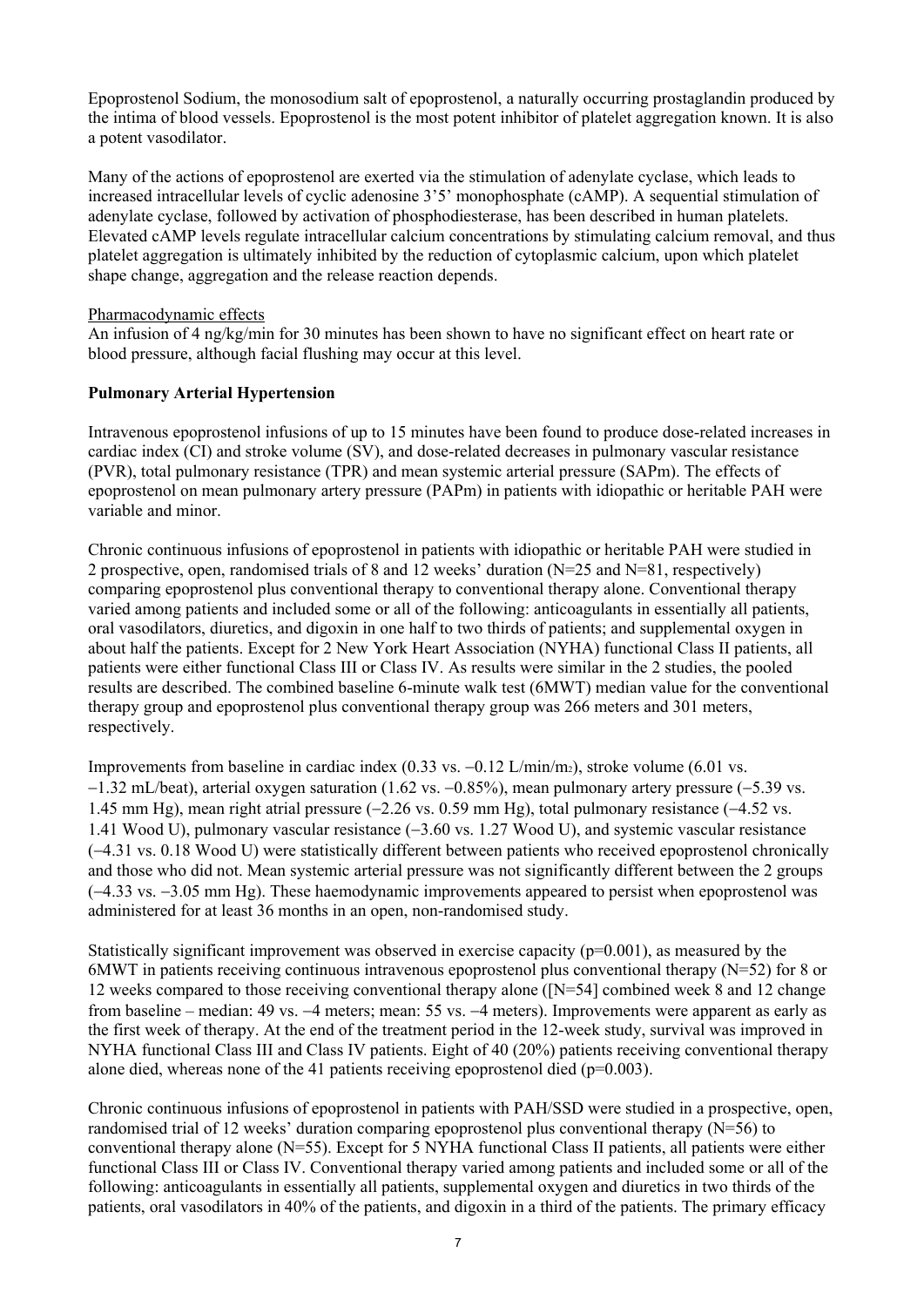Epoprostenol Sodium, the monosodium salt of epoprostenol, a naturally occurring prostaglandin produced by the intima of blood vessels. Epoprostenol is the most potent inhibitor of platelet aggregation known. It is also a potent vasodilator.

Many of the actions of epoprostenol are exerted via the stimulation of adenylate cyclase, which leads to increased intracellular levels of cyclic adenosine 3'5' monophosphate (cAMP). A sequential stimulation of adenylate cyclase, followed by activation of phosphodiesterase, has been described in human platelets. Elevated cAMP levels regulate intracellular calcium concentrations by stimulating calcium removal, and thus platelet aggregation is ultimately inhibited by the reduction of cytoplasmic calcium, upon which platelet shape change, aggregation and the release reaction depends.

#### Pharmacodynamic effects

An infusion of 4 ng/kg/min for 30 minutes has been shown to have no significant effect on heart rate or blood pressure, although facial flushing may occur at this level.

# **Pulmonary Arterial Hypertension**

Intravenous epoprostenol infusions of up to 15 minutes have been found to produce dose-related increases in cardiac index (CI) and stroke volume (SV), and dose-related decreases in pulmonary vascular resistance (PVR), total pulmonary resistance (TPR) and mean systemic arterial pressure (SAPm). The effects of epoprostenol on mean pulmonary artery pressure (PAPm) in patients with idiopathic or heritable PAH were variable and minor.

Chronic continuous infusions of epoprostenol in patients with idiopathic or heritable PAH were studied in 2 prospective, open, randomised trials of 8 and 12 weeks' duration ( $N=25$  and  $N=81$ , respectively) comparing epoprostenol plus conventional therapy to conventional therapy alone. Conventional therapy varied among patients and included some or all of the following: anticoagulants in essentially all patients, oral vasodilators, diuretics, and digoxin in one half to two thirds of patients; and supplemental oxygen in about half the patients. Except for 2 New York Heart Association (NYHA) functional Class II patients, all patients were either functional Class III or Class IV. As results were similar in the 2 studies, the pooled results are described. The combined baseline 6-minute walk test (6MWT) median value for the conventional therapy group and epoprostenol plus conventional therapy group was 266 meters and 301 meters, respectively.

Improvements from baseline in cardiac index  $(0.33 \text{ vs. } -0.12 \text{ L/min/m}z)$ , stroke volume  $(6.01 \text{ vs. } -0.12 \text{ L/min/m}z)$  $-1.32$  mL/beat), arterial oxygen saturation (1.62 vs.  $-0.85\%$ ), mean pulmonary artery pressure ( $-5.39$  vs. 1.45 mm Hg), mean right atrial pressure  $(-2.26 \text{ vs. } 0.59 \text{ mm Hg})$ , total pulmonary resistance  $(-4.52 \text{ vs. } 0.59 \text{ mm Hg})$ 1.41 Wood U), pulmonary vascular resistance  $(-3.60 \text{ vs. } 1.27 \text{ Wood } U)$ , and systemic vascular resistance (4.31 vs. 0.18 Wood U) were statistically different between patients who received epoprostenol chronically and those who did not. Mean systemic arterial pressure was not significantly different between the 2 groups  $(-4.33 \text{ vs. } -3.05 \text{ mm Hg})$ . These haemodynamic improvements appeared to persist when epoprostenol was administered for at least 36 months in an open, non-randomised study.

Statistically significant improvement was observed in exercise capacity ( $p=0.001$ ), as measured by the 6MWT in patients receiving continuous intravenous epoprostenol plus conventional therapy (N=52) for 8 or 12 weeks compared to those receiving conventional therapy alone ([N=54] combined week 8 and 12 change from baseline – median: 49 vs. –4 meters; mean: 55 vs. –4 meters). Improvements were apparent as early as the first week of therapy. At the end of the treatment period in the 12-week study, survival was improved in NYHA functional Class III and Class IV patients. Eight of 40 (20%) patients receiving conventional therapy alone died, whereas none of the 41 patients receiving epoprostenol died (p=0.003).

Chronic continuous infusions of epoprostenol in patients with PAH/SSD were studied in a prospective, open, randomised trial of 12 weeks' duration comparing epoprostenol plus conventional therapy (N=56) to conventional therapy alone (N=55). Except for 5 NYHA functional Class II patients, all patients were either functional Class III or Class IV. Conventional therapy varied among patients and included some or all of the following: anticoagulants in essentially all patients, supplemental oxygen and diuretics in two thirds of the patients, oral vasodilators in 40% of the patients, and digoxin in a third of the patients. The primary efficacy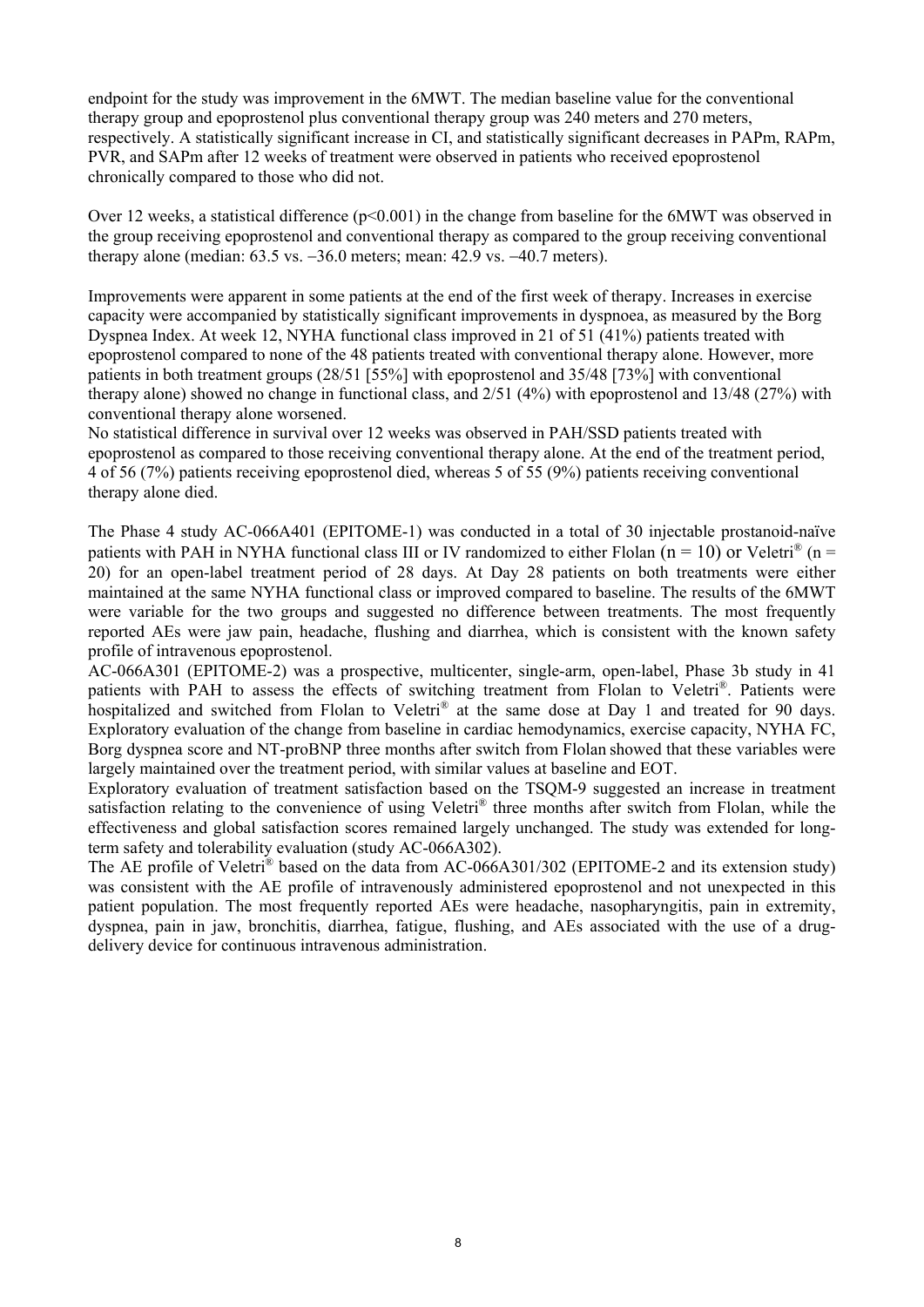endpoint for the study was improvement in the 6MWT. The median baseline value for the conventional therapy group and epoprostenol plus conventional therapy group was 240 meters and 270 meters, respectively. A statistically significant increase in CI, and statistically significant decreases in PAPm, RAPm, PVR, and SAPm after 12 weeks of treatment were observed in patients who received epoprostenol chronically compared to those who did not.

Over 12 weeks, a statistical difference (p<0.001) in the change from baseline for the 6MWT was observed in the group receiving epoprostenol and conventional therapy as compared to the group receiving conventional therapy alone (median:  $63.5$  vs.  $-36.0$  meters; mean:  $42.9$  vs.  $-40.7$  meters).

Improvements were apparent in some patients at the end of the first week of therapy. Increases in exercise capacity were accompanied by statistically significant improvements in dyspnoea, as measured by the Borg Dyspnea Index. At week 12, NYHA functional class improved in 21 of 51 (41%) patients treated with epoprostenol compared to none of the 48 patients treated with conventional therapy alone. However, more patients in both treatment groups (28/51 [55%] with epoprostenol and 35/48 [73%] with conventional therapy alone) showed no change in functional class, and 2/51 (4%) with epoprostenol and 13/48 (27%) with conventional therapy alone worsened.

No statistical difference in survival over 12 weeks was observed in PAH/SSD patients treated with epoprostenol as compared to those receiving conventional therapy alone. At the end of the treatment period, 4 of 56 (7%) patients receiving epoprostenol died, whereas 5 of 55 (9%) patients receiving conventional therapy alone died.

The Phase 4 study AC-066A401 (EPITOME-1) was conducted in a total of 30 injectable prostanoid-naïve patients with PAH in NYHA functional class III or IV randomized to either Flolan ( $n = 10$ ) or Veletri<sup>®</sup> ( $n =$ 20) for an open-label treatment period of 28 days. At Day 28 patients on both treatments were either maintained at the same NYHA functional class or improved compared to baseline. The results of the 6MWT were variable for the two groups and suggested no difference between treatments. The most frequently reported AEs were jaw pain, headache, flushing and diarrhea, which is consistent with the known safety profile of intravenous epoprostenol.

AC-066A301 (EPITOME-2) was a prospective, multicenter, single-arm, open-label, Phase 3b study in 41 patients with PAH to assess the effects of switching treatment from Flolan to Veletri®. Patients were hospitalized and switched from Flolan to Veletri<sup>®</sup> at the same dose at Day 1 and treated for 90 days. Exploratory evaluation of the change from baseline in cardiac hemodynamics, exercise capacity, NYHA FC, Borg dyspnea score and NT-proBNP three months after switch from Flolan showed that these variables were largely maintained over the treatment period, with similar values at baseline and EOT.

Exploratory evaluation of treatment satisfaction based on the TSQM-9 suggested an increase in treatment satisfaction relating to the convenience of using Veletri® three months after switch from Flolan, while the effectiveness and global satisfaction scores remained largely unchanged. The study was extended for longterm safety and tolerability evaluation (study AC-066A302).

The AE profile of Veletri® based on the data from AC-066A301/302 (EPITOME-2 and its extension study) was consistent with the AE profile of intravenously administered epoprostenol and not unexpected in this patient population. The most frequently reported AEs were headache, nasopharyngitis, pain in extremity, dyspnea, pain in jaw, bronchitis, diarrhea, fatigue, flushing, and AEs associated with the use of a drugdelivery device for continuous intravenous administration.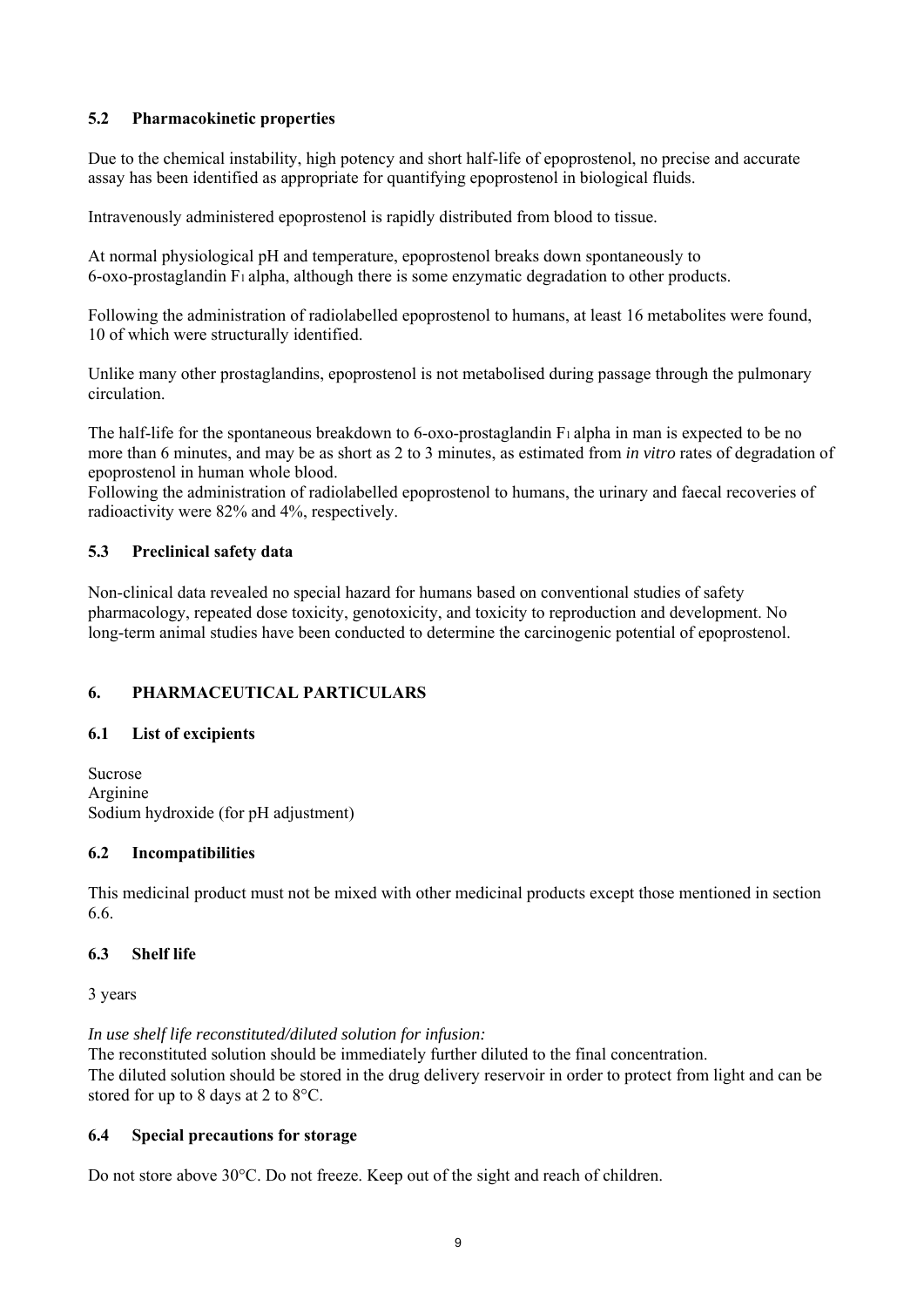### **5.2 Pharmacokinetic properties**

Due to the chemical instability, high potency and short half-life of epoprostenol, no precise and accurate assay has been identified as appropriate for quantifying epoprostenol in biological fluids.

Intravenously administered epoprostenol is rapidly distributed from blood to tissue.

At normal physiological pH and temperature, epoprostenol breaks down spontaneously to 6-oxo-prostaglandin F1 alpha, although there is some enzymatic degradation to other products.

Following the administration of radiolabelled epoprostenol to humans, at least 16 metabolites were found, 10 of which were structurally identified.

Unlike many other prostaglandins, epoprostenol is not metabolised during passage through the pulmonary circulation.

The half-life for the spontaneous breakdown to 6-oxo-prostaglandin F<sub>1</sub> alpha in man is expected to be no more than 6 minutes, and may be as short as 2 to 3 minutes, as estimated from *in vitro* rates of degradation of epoprostenol in human whole blood.

Following the administration of radiolabelled epoprostenol to humans, the urinary and faecal recoveries of radioactivity were 82% and 4%, respectively.

### **5.3 Preclinical safety data**

Non-clinical data revealed no special hazard for humans based on conventional studies of safety pharmacology, repeated dose toxicity, genotoxicity, and toxicity to reproduction and development. No long-term animal studies have been conducted to determine the carcinogenic potential of epoprostenol.

# **6. PHARMACEUTICAL PARTICULARS**

#### **6.1 List of excipients**

Sucrose Arginine Sodium hydroxide (for pH adjustment)

#### **6.2 Incompatibilities**

This medicinal product must not be mixed with other medicinal products except those mentioned in section 6.6.

#### **6.3 Shelf life**

3 years

*In use shelf life reconstituted/diluted solution for infusion:*

The reconstituted solution should be immediately further diluted to the final concentration. The diluted solution should be stored in the drug delivery reservoir in order to protect from light and can be stored for up to 8 days at 2 to 8°C.

# **6.4 Special precautions for storage**

Do not store above 30°C. Do not freeze. Keep out of the sight and reach of children.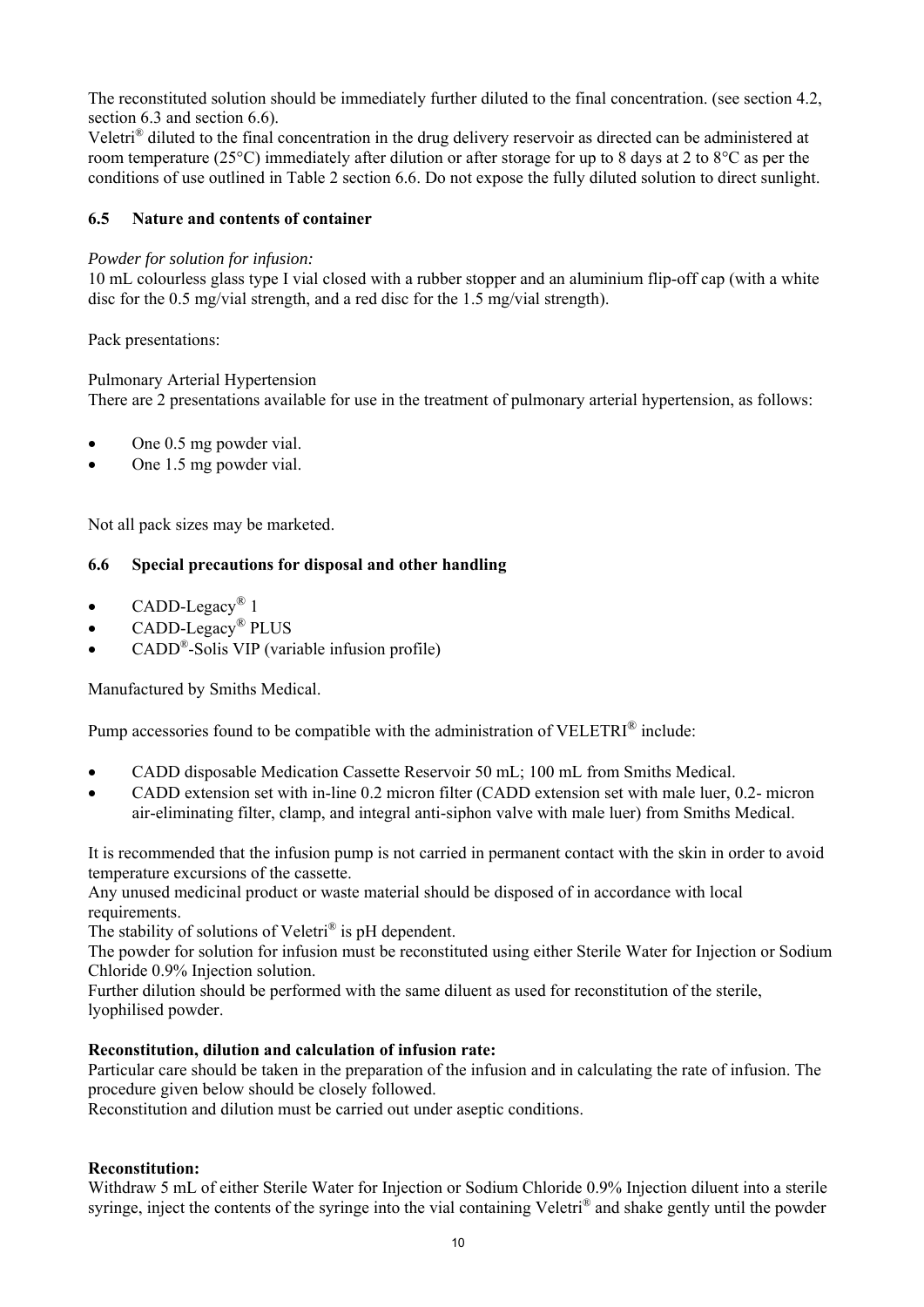The reconstituted solution should be immediately further diluted to the final concentration. (see section 4.2, section 6.3 and section 6.6).

Veletri® diluted to the final concentration in the drug delivery reservoir as directed can be administered at room temperature (25°C) immediately after dilution or after storage for up to 8 days at 2 to 8°C as per the conditions of use outlined in Table 2 section 6.6. Do not expose the fully diluted solution to direct sunlight.

### **6.5 Nature and contents of container**

#### *Powder for solution for infusion:*

10 mL colourless glass type I vial closed with a rubber stopper and an aluminium flip-off cap (with a white disc for the 0.5 mg/vial strength, and a red disc for the 1.5 mg/vial strength).

Pack presentations:

### Pulmonary Arterial Hypertension

There are 2 presentations available for use in the treatment of pulmonary arterial hypertension, as follows:

- One 0.5 mg powder vial.
- One 1.5 mg powder vial.

Not all pack sizes may be marketed.

### **6.6 Special precautions for disposal and other handling**

- CADD-Legacy<sup>®</sup> 1
- CADD-Legacy® PLUS
- CADD®-Solis VIP (variable infusion profile)

Manufactured by Smiths Medical.

Pump accessories found to be compatible with the administration of VELETRI<sup>®</sup> include:

- CADD disposable Medication Cassette Reservoir 50 mL; 100 mL from Smiths Medical.
- CADD extension set with in-line 0.2 micron filter (CADD extension set with male luer, 0.2- micron air-eliminating filter, clamp, and integral anti-siphon valve with male luer) from Smiths Medical.

It is recommended that the infusion pump is not carried in permanent contact with the skin in order to avoid temperature excursions of the cassette.

Any unused medicinal product or waste material should be disposed of in accordance with local requirements.

The stability of solutions of Veletri<sup>®</sup> is pH dependent.

The powder for solution for infusion must be reconstituted using either Sterile Water for Injection or Sodium Chloride 0.9% Injection solution.

Further dilution should be performed with the same diluent as used for reconstitution of the sterile, lyophilised powder.

#### **Reconstitution, dilution and calculation of infusion rate:**

Particular care should be taken in the preparation of the infusion and in calculating the rate of infusion. The procedure given below should be closely followed.

Reconstitution and dilution must be carried out under aseptic conditions.

#### **Reconstitution:**

Withdraw 5 mL of either Sterile Water for Injection or Sodium Chloride 0.9% Injection diluent into a sterile syringe, inject the contents of the syringe into the vial containing Veletri® and shake gently until the powder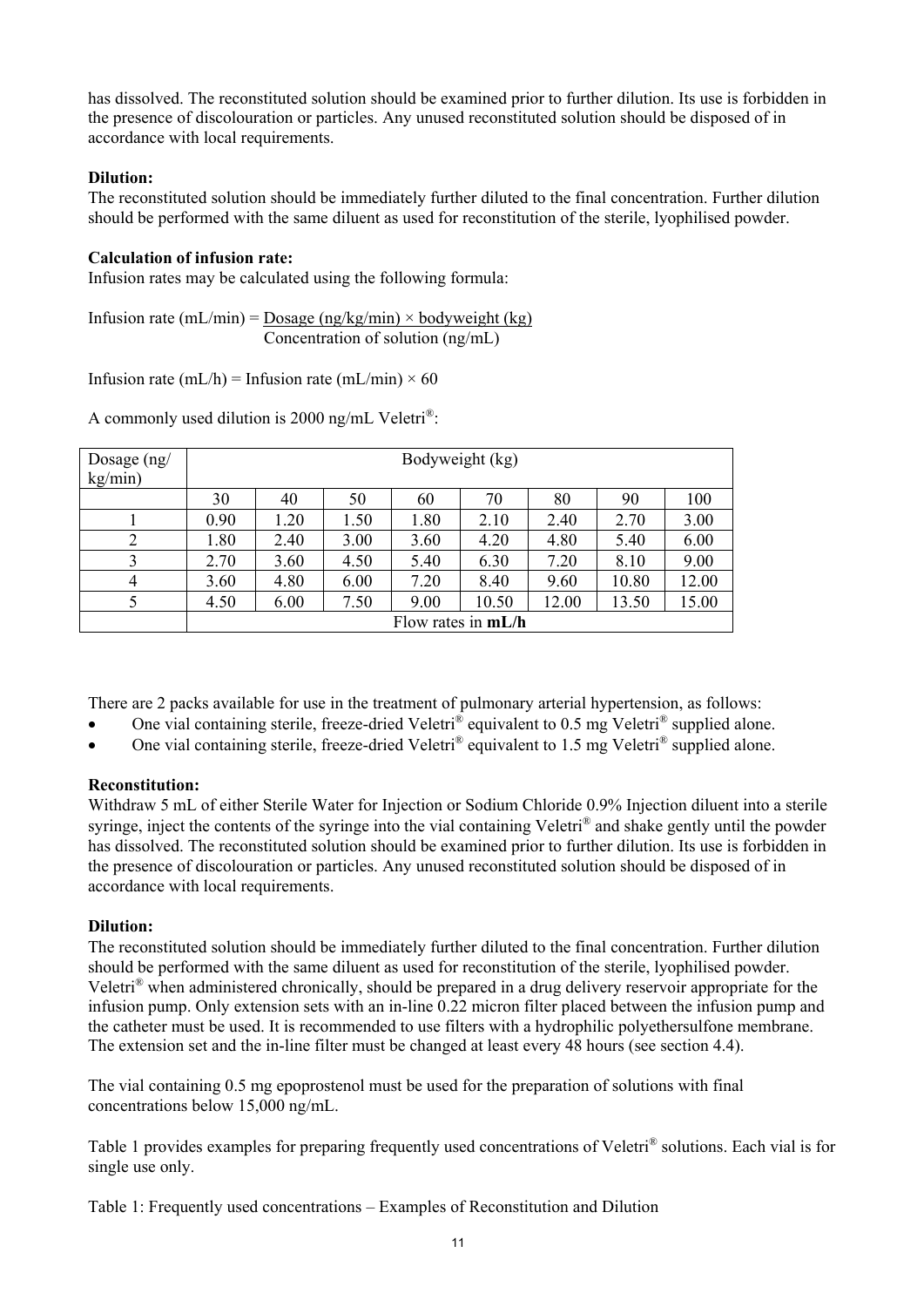has dissolved. The reconstituted solution should be examined prior to further dilution. Its use is forbidden in the presence of discolouration or particles. Any unused reconstituted solution should be disposed of in accordance with local requirements.

# **Dilution:**

The reconstituted solution should be immediately further diluted to the final concentration. Further dilution should be performed with the same diluent as used for reconstitution of the sterile, lyophilised powder.

### **Calculation of infusion rate:**

Infusion rates may be calculated using the following formula:

Infusion rate (mL/min) = Dosage (ng/kg/min) × bodyweight (kg) Concentration of solution (ng/mL)

Infusion rate (mL/h) = Infusion rate (mL/min)  $\times$  60

A commonly used dilution is 2000 ng/mL Veletri®:

| Dosage $(ng)$<br>kg/min) | Bodyweight (kg)      |      |      |      |       |       |       |       |  |
|--------------------------|----------------------|------|------|------|-------|-------|-------|-------|--|
|                          | 30                   | 40   | 50   | 60   | 70    | 80    | 90    | 100   |  |
|                          | 0.90                 | 1.20 | 1.50 | 1.80 | 2.10  | 2.40  | 2.70  | 3.00  |  |
|                          | 1.80                 | 2.40 | 3.00 | 3.60 | 4.20  | 4.80  | 5.40  | 6.00  |  |
|                          | 2.70                 | 3.60 | 4.50 | 5.40 | 6.30  | 7.20  | 8.10  | 9.00  |  |
| 4                        | 3.60                 | 4.80 | 6.00 | 7.20 | 8.40  | 9.60  | 10.80 | 12.00 |  |
|                          | 4.50                 | 6.00 | 7.50 | 9.00 | 10.50 | 12.00 | 13.50 | 15.00 |  |
|                          | Flow rates in $mL/h$ |      |      |      |       |       |       |       |  |

There are 2 packs available for use in the treatment of pulmonary arterial hypertension, as follows:

- One vial containing sterile, freeze-dried Veletri® equivalent to 0.5 mg Veletri® supplied alone.
- One vial containing sterile, freeze-dried Veletri® equivalent to 1.5 mg Veletri® supplied alone.

# **Reconstitution:**

Withdraw 5 mL of either Sterile Water for Injection or Sodium Chloride 0.9% Injection diluent into a sterile syringe, inject the contents of the syringe into the vial containing Veletri<sup>®</sup> and shake gently until the powder has dissolved. The reconstituted solution should be examined prior to further dilution. Its use is forbidden in the presence of discolouration or particles. Any unused reconstituted solution should be disposed of in accordance with local requirements.

# **Dilution:**

The reconstituted solution should be immediately further diluted to the final concentration. Further dilution should be performed with the same diluent as used for reconstitution of the sterile, lyophilised powder. Veletri® when administered chronically, should be prepared in a drug delivery reservoir appropriate for the infusion pump. Only extension sets with an in-line 0.22 micron filter placed between the infusion pump and the catheter must be used. It is recommended to use filters with a hydrophilic polyethersulfone membrane. The extension set and the in-line filter must be changed at least every 48 hours (see section 4.4).

The vial containing 0.5 mg epoprostenol must be used for the preparation of solutions with final concentrations below 15,000 ng/mL.

Table 1 provides examples for preparing frequently used concentrations of Veletri® solutions. Each vial is for single use only.

Table 1: Frequently used concentrations – Examples of Reconstitution and Dilution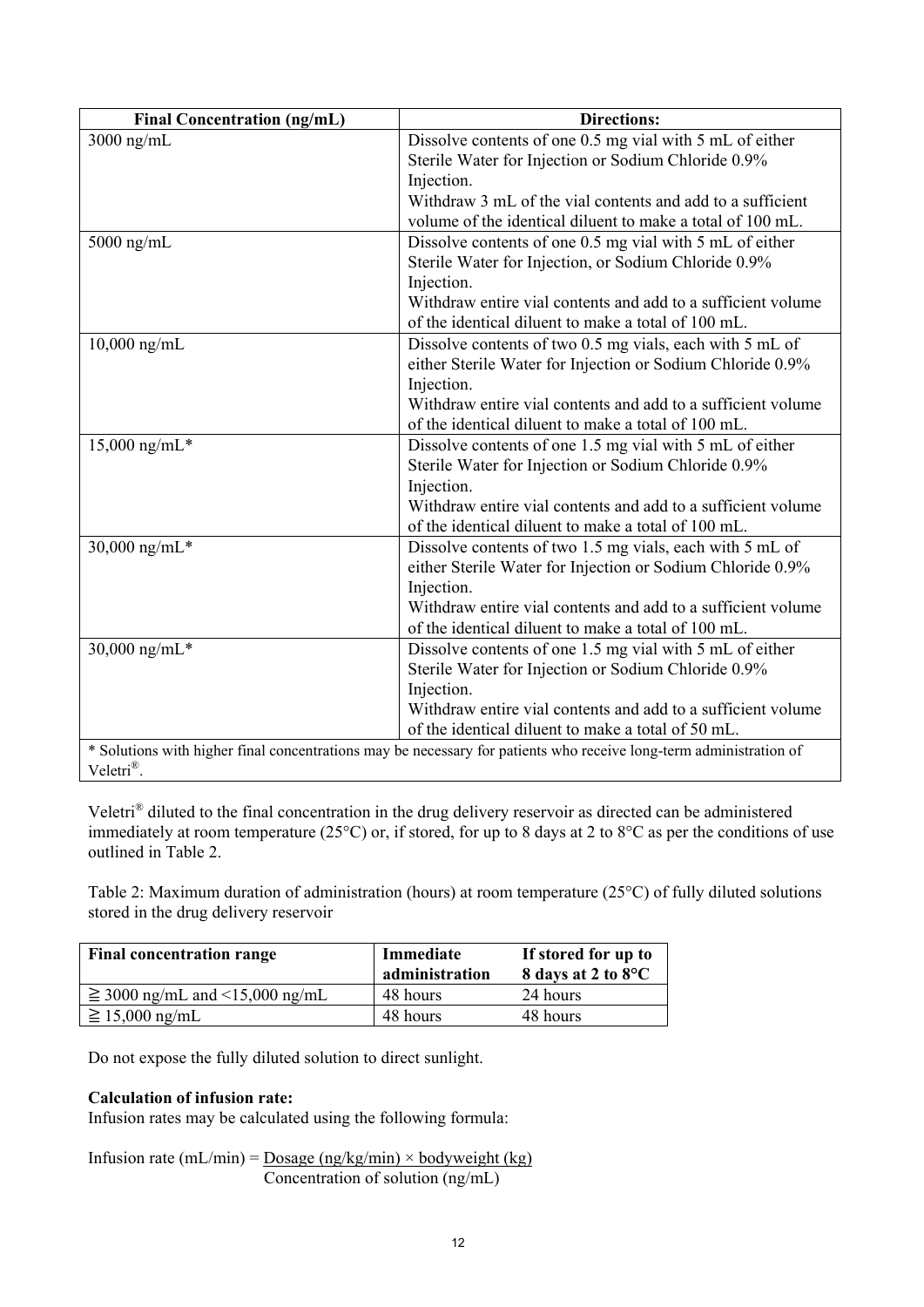| <b>Final Concentration (ng/mL)</b> | <b>Directions:</b>                                                                                                 |
|------------------------------------|--------------------------------------------------------------------------------------------------------------------|
| 3000 ng/mL                         | Dissolve contents of one 0.5 mg vial with 5 mL of either                                                           |
|                                    | Sterile Water for Injection or Sodium Chloride 0.9%                                                                |
|                                    | Injection.                                                                                                         |
|                                    | Withdraw 3 mL of the vial contents and add to a sufficient                                                         |
|                                    | volume of the identical diluent to make a total of 100 mL.                                                         |
| $5000$ ng/mL                       | Dissolve contents of one 0.5 mg vial with 5 mL of either                                                           |
|                                    | Sterile Water for Injection, or Sodium Chloride 0.9%                                                               |
|                                    | Injection.                                                                                                         |
|                                    | Withdraw entire vial contents and add to a sufficient volume                                                       |
|                                    | of the identical diluent to make a total of 100 mL.                                                                |
| $10,000$ ng/mL                     | Dissolve contents of two 0.5 mg vials, each with 5 mL of                                                           |
|                                    | either Sterile Water for Injection or Sodium Chloride 0.9%                                                         |
|                                    | Injection.                                                                                                         |
|                                    | Withdraw entire vial contents and add to a sufficient volume                                                       |
|                                    | of the identical diluent to make a total of 100 mL.                                                                |
| $15,000$ ng/mL*                    | Dissolve contents of one 1.5 mg vial with 5 mL of either                                                           |
|                                    | Sterile Water for Injection or Sodium Chloride 0.9%                                                                |
|                                    | Injection.                                                                                                         |
|                                    | Withdraw entire vial contents and add to a sufficient volume                                                       |
|                                    | of the identical diluent to make a total of 100 mL.                                                                |
| 30,000 ng/mL*                      | Dissolve contents of two 1.5 mg vials, each with 5 mL of                                                           |
|                                    | either Sterile Water for Injection or Sodium Chloride 0.9%                                                         |
|                                    | Injection.                                                                                                         |
|                                    | Withdraw entire vial contents and add to a sufficient volume                                                       |
|                                    | of the identical diluent to make a total of 100 mL.                                                                |
| $30,000$ ng/mL*                    | Dissolve contents of one 1.5 mg vial with 5 mL of either                                                           |
|                                    | Sterile Water for Injection or Sodium Chloride 0.9%                                                                |
|                                    | Injection.                                                                                                         |
|                                    | Withdraw entire vial contents and add to a sufficient volume                                                       |
|                                    | of the identical diluent to make a total of 50 mL.                                                                 |
|                                    | * Solutions with higher final concentrations may be necessary for patients who receive long-term administration of |
| Veletri®.                          |                                                                                                                    |

Veletri® diluted to the final concentration in the drug delivery reservoir as directed can be administered immediately at room temperature (25°C) or, if stored, for up to 8 days at 2 to 8°C as per the conditions of use outlined in Table 2.

Table 2: Maximum duration of administration (hours) at room temperature (25°C) of fully diluted solutions stored in the drug delivery reservoir

| <b>Final concentration range</b>    | Immediate<br>administration | If stored for up to<br>8 days at 2 to 8°C |
|-------------------------------------|-----------------------------|-------------------------------------------|
| $\geq$ 3000 ng/mL and <15,000 ng/mL | 48 hours                    | 24 hours                                  |
| $\geq$ 15,000 ng/mL                 | 48 hours                    | 48 hours                                  |

Do not expose the fully diluted solution to direct sunlight.

# **Calculation of infusion rate:**

Infusion rates may be calculated using the following formula:

Infusion rate (mL/min) =  $Doseg (ng/kg/min) \times bodyweight (kg)$ Concentration of solution (ng/mL)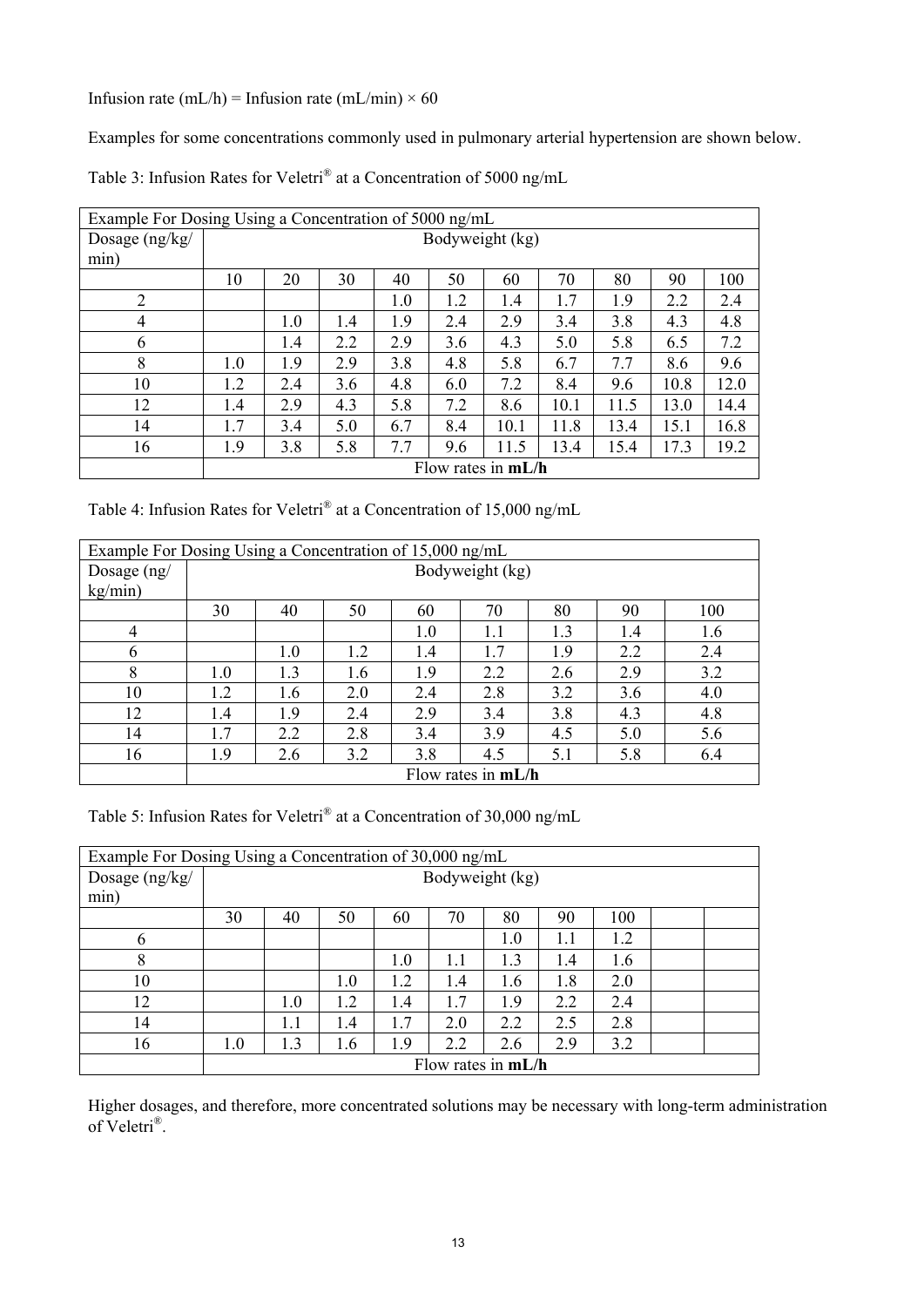Infusion rate (mL/h) = Infusion rate (mL/min)  $\times$  60

Examples for some concentrations commonly used in pulmonary arterial hypertension are shown below.

Table 3: Infusion Rates for Veletri® at a Concentration of 5000 ng/mL

| Example For Dosing Using a Concentration of 5000 ng/mL |                      |                                                             |     |     |     |      |      |      |      |      |
|--------------------------------------------------------|----------------------|-------------------------------------------------------------|-----|-----|-----|------|------|------|------|------|
| Dosage $(ng/kg/$                                       | Bodyweight (kg)      |                                                             |     |     |     |      |      |      |      |      |
| min)                                                   |                      |                                                             |     |     |     |      |      |      |      |      |
|                                                        | 10                   | 20                                                          | 30  | 40  | 50  | 60   | 70   | 80   | 90   | 100  |
| $\overline{2}$                                         |                      |                                                             |     | 1.0 | 1.2 | 1.4  | 1.7  | 1.9  | 2.2  | 2.4  |
| 4                                                      |                      | 4.8<br>1.9<br>2.9<br>3.8<br>4.3<br>1.0<br>2.4<br>3.4<br>1.4 |     |     |     |      |      |      |      |      |
| 6                                                      |                      | 1.4                                                         | 2.2 | 2.9 | 3.6 | 4.3  | 5.0  | 5.8  | 6.5  | 7.2  |
| 8                                                      | 1.0                  | 1.9                                                         | 2.9 | 3.8 | 4.8 | 5.8  | 6.7  | 7.7  | 8.6  | 9.6  |
| 10                                                     | 1.2                  | 2.4                                                         | 3.6 | 4.8 | 6.0 | 7.2  | 8.4  | 9.6  | 10.8 | 12.0 |
| 12                                                     | 1.4                  | 2.9                                                         | 4.3 | 5.8 | 7.2 | 8.6  | 10.1 | 11.5 | 13.0 | 14.4 |
| 14                                                     | 1.7                  | 3.4                                                         | 5.0 | 6.7 | 8.4 | 10.1 | 11.8 | 13.4 | 15.1 | 16.8 |
| 16                                                     | 1.9                  | 3.8                                                         | 5.8 | 7.7 | 9.6 | 11.5 | 13.4 | 15.4 | 17.3 | 19.2 |
|                                                        | Flow rates in $mL/h$ |                                                             |     |     |     |      |      |      |      |      |

Table 4: Infusion Rates for Veletri® at a Concentration of 15,000 ng/mL

| Example For Dosing Using a Concentration of 15,000 ng/mL |                      |                                               |     |         |     |     |     |     |  |  |  |
|----------------------------------------------------------|----------------------|-----------------------------------------------|-----|---------|-----|-----|-----|-----|--|--|--|
| Dosage $(ng)$                                            | Bodyweight (kg)      |                                               |     |         |     |     |     |     |  |  |  |
| kg/min)                                                  |                      |                                               |     |         |     |     |     |     |  |  |  |
|                                                          | 30                   | 40                                            | 50  | 60      | 70  | 80  | 90  | 100 |  |  |  |
| 4                                                        |                      |                                               |     | $1.0\,$ | 1.1 | 1.3 | 1.4 | 1.6 |  |  |  |
| 6                                                        |                      | 1.0                                           | 1.2 | 1.4     | 1.7 | 1.9 | 2.2 | 2.4 |  |  |  |
| 8                                                        | 1.0                  | 1.3                                           | 1.6 | 1.9     | 2.2 | 2.6 | 2.9 | 3.2 |  |  |  |
| 10                                                       | 1.2                  | 1.6                                           | 2.0 | 2.4     | 2.8 | 3.2 | 3.6 | 4.0 |  |  |  |
| 12                                                       | 1.4                  | 1.9                                           | 2.4 | 2.9     | 3.4 | 3.8 | 4.3 | 4.8 |  |  |  |
| 14                                                       | 1.7                  | 2.2                                           | 2.8 | 3.4     | 3.9 | 4.5 | 5.0 | 5.6 |  |  |  |
| 16                                                       | 1.9                  | 2.6<br>3.8<br>5.1<br>3.2<br>4.5<br>5.8<br>6.4 |     |         |     |     |     |     |  |  |  |
|                                                          | Flow rates in $mL/h$ |                                               |     |         |     |     |     |     |  |  |  |

Table 5: Infusion Rates for Veletri® at a Concentration of 30,000 ng/mL

| Example For Dosing Using a Concentration of 30,000 ng/mL |                      |     |     |     |     |     |     |     |  |  |
|----------------------------------------------------------|----------------------|-----|-----|-----|-----|-----|-----|-----|--|--|
| Dosage (ng/kg/                                           | Bodyweight (kg)      |     |     |     |     |     |     |     |  |  |
| min)                                                     |                      |     |     |     |     |     |     |     |  |  |
|                                                          | 30                   | 40  | 50  | 60  | 70  | 80  | 90  | 100 |  |  |
| 6                                                        |                      |     |     |     |     | 1.0 | 1.1 | 1.2 |  |  |
| 8                                                        |                      |     |     | 1.0 | 1.1 | 1.3 | 1.4 | 1.6 |  |  |
| 10                                                       |                      |     | 1.0 | 1.2 | 1.4 | 1.6 | 1.8 | 2.0 |  |  |
| 12                                                       |                      | 1.0 | 1.2 | 1.4 | 1.7 | 1.9 | 2.2 | 2.4 |  |  |
| 14                                                       |                      | 1.1 | 1.4 | 1.7 | 2.0 | 2.2 | 2.5 | 2.8 |  |  |
| 16                                                       | 1.0                  | 1.3 | 1.6 | 1.9 | 2.2 | 2.6 | 2.9 | 3.2 |  |  |
|                                                          | Flow rates in $mL/h$ |     |     |     |     |     |     |     |  |  |

Higher dosages, and therefore, more concentrated solutions may be necessary with long-term administration of Veletri®.